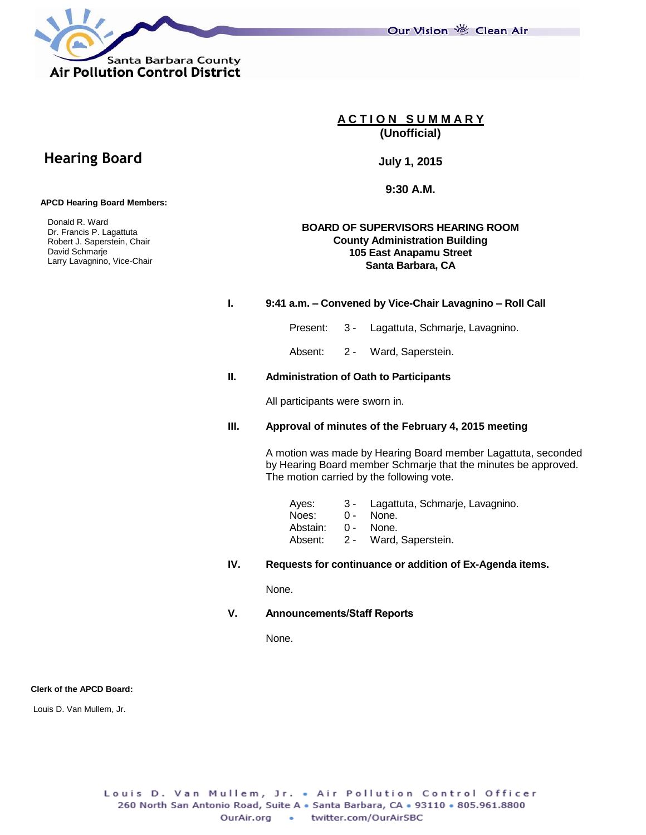Santa Barbara County **Air Pollution Control District** 

Our Vision 卷 Clean Air

**A C T I O N S U M M A R Y (Unofficial)**

**July 1, 2015**

**9:30 A.M.**

#### **BOARD OF SUPERVISORS HEARING ROOM County Administration Building 105 East Anapamu Street Santa Barbara, CA**

#### **I. 9:41 a.m. – Convened by Vice-Chair Lavagnino – Roll Call**

Present: 3 - Lagattuta, Schmarje, Lavagnino.

Absent: 2 - Ward, Saperstein.

#### **II. Administration of Oath to Participants**

All participants were sworn in.

#### **III. Approval of minutes of the February 4, 2015 meeting**

A motion was made by Hearing Board member Lagattuta, seconded by Hearing Board member Schmarje that the minutes be approved. The motion carried by the following vote.

| Aves:    |            | 3 - Lagattuta, Schmarje, Lavagnino. |
|----------|------------|-------------------------------------|
| Noes:    | $\Omega$ – | None.                               |
| Abstain: | 0 -        | None.                               |
| Absent:  |            | 2 - Ward, Saperstein.               |
|          |            |                                     |

#### **IV. Requests for continuance or addition of Ex-Agenda items.**

None.

**V. Announcements/Staff Reports**

None.

#### **Clerk of the APCD Board:**

Louis D. Van Mullem, Jr.

# **Hearing Board**

 **APCD Hearing Board Members:**

 Donald R. Ward Dr. Francis P. Lagattuta Robert J. Saperstein, Chair David Schmarje Larry Lavagnino, Vice-Chair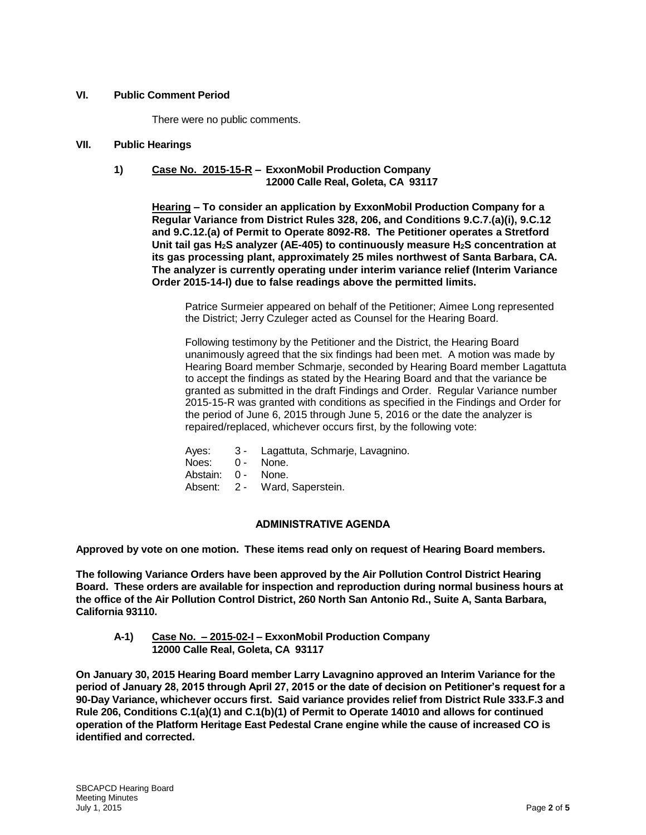#### **VI. Public Comment Period**

There were no public comments.

#### **VII. Public Hearings**

#### **1) Case No. 2015-15-R – ExxonMobil Production Company 12000 Calle Real, Goleta, CA 93117**

**Hearing – To consider an application by ExxonMobil Production Company for a Regular Variance from District Rules 328, 206, and Conditions 9.C.7.(a)(i), 9.C.12 and 9.C.12.(a) of Permit to Operate 8092-R8. The Petitioner operates a Stretford Unit tail gas H2S analyzer (AE-405) to continuously measure H2S concentration at its gas processing plant, approximately 25 miles northwest of Santa Barbara, CA. The analyzer is currently operating under interim variance relief (Interim Variance Order 2015-14-I) due to false readings above the permitted limits.**

Patrice Surmeier appeared on behalf of the Petitioner; Aimee Long represented the District; Jerry Czuleger acted as Counsel for the Hearing Board.

Following testimony by the Petitioner and the District, the Hearing Board unanimously agreed that the six findings had been met. A motion was made by Hearing Board member Schmarje, seconded by Hearing Board member Lagattuta to accept the findings as stated by the Hearing Board and that the variance be granted as submitted in the draft Findings and Order. Regular Variance number 2015-15-R was granted with conditions as specified in the Findings and Order for the period of June 6, 2015 through June 5, 2016 or the date the analyzer is repaired/replaced, whichever occurs first, by the following vote:

| Ayes: |  |  | Lagattuta, Schmarje, Lavagnino. |  |
|-------|--|--|---------------------------------|--|
|-------|--|--|---------------------------------|--|

- Noes: 0 None.
- Abstain: 0 None.
- Absent: 2 Ward, Saperstein.

#### **ADMINISTRATIVE AGENDA**

**Approved by vote on one motion. These items read only on request of Hearing Board members.**

**The following Variance Orders have been approved by the Air Pollution Control District Hearing Board. These orders are available for inspection and reproduction during normal business hours at the office of the Air Pollution Control District, 260 North San Antonio Rd., Suite A, Santa Barbara, California 93110.**

**A-1) Case No. – 2015-02-I – ExxonMobil Production Company 12000 Calle Real, Goleta, CA 93117**

**On January 30, 2015 Hearing Board member Larry Lavagnino approved an Interim Variance for the period of January 28, 2015 through April 27, 2015 or the date of decision on Petitioner's request for a 90-Day Variance, whichever occurs first. Said variance provides relief from District Rule 333.F.3 and Rule 206, Conditions C.1(a)(1) and C.1(b)(1) of Permit to Operate 14010 and allows for continued operation of the Platform Heritage East Pedestal Crane engine while the cause of increased CO is identified and corrected.**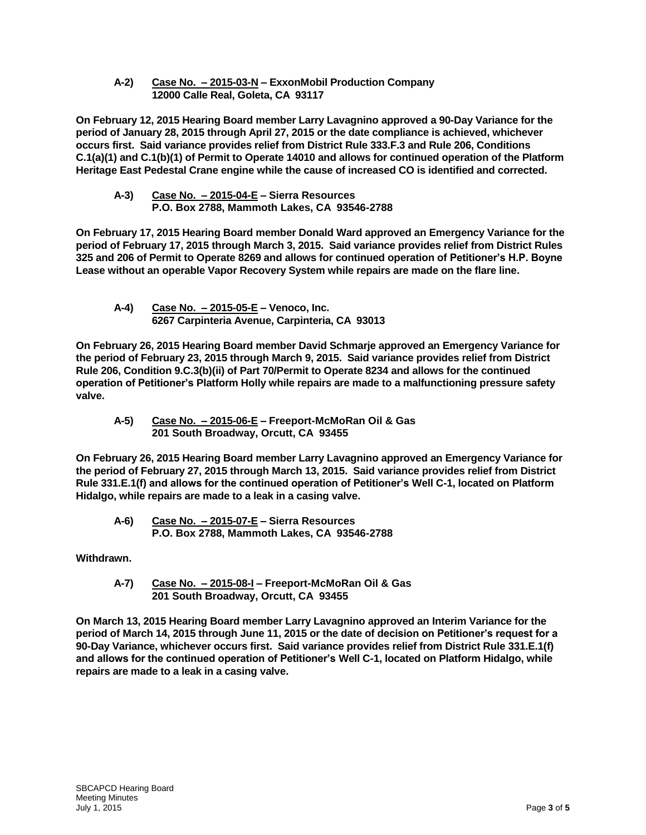**A-2) Case No. – 2015-03-N – ExxonMobil Production Company 12000 Calle Real, Goleta, CA 93117**

**On February 12, 2015 Hearing Board member Larry Lavagnino approved a 90-Day Variance for the period of January 28, 2015 through April 27, 2015 or the date compliance is achieved, whichever occurs first. Said variance provides relief from District Rule 333.F.3 and Rule 206, Conditions C.1(a)(1) and C.1(b)(1) of Permit to Operate 14010 and allows for continued operation of the Platform Heritage East Pedestal Crane engine while the cause of increased CO is identified and corrected.**

**A-3) Case No. – 2015-04-E – Sierra Resources P.O. Box 2788, Mammoth Lakes, CA 93546-2788**

**On February 17, 2015 Hearing Board member Donald Ward approved an Emergency Variance for the period of February 17, 2015 through March 3, 2015. Said variance provides relief from District Rules 325 and 206 of Permit to Operate 8269 and allows for continued operation of Petitioner's H.P. Boyne Lease without an operable Vapor Recovery System while repairs are made on the flare line.** 

**A-4) Case No. – 2015-05-E – Venoco, Inc. 6267 Carpinteria Avenue, Carpinteria, CA 93013**

**On February 26, 2015 Hearing Board member David Schmarje approved an Emergency Variance for the period of February 23, 2015 through March 9, 2015. Said variance provides relief from District Rule 206, Condition 9.C.3(b)(ii) of Part 70/Permit to Operate 8234 and allows for the continued operation of Petitioner's Platform Holly while repairs are made to a malfunctioning pressure safety valve.** 

**A-5) Case No. – 2015-06-E – Freeport-McMoRan Oil & Gas 201 South Broadway, Orcutt, CA 93455**

**On February 26, 2015 Hearing Board member Larry Lavagnino approved an Emergency Variance for the period of February 27, 2015 through March 13, 2015. Said variance provides relief from District Rule 331.E.1(f) and allows for the continued operation of Petitioner's Well C-1, located on Platform Hidalgo, while repairs are made to a leak in a casing valve.**

**A-6) Case No. – 2015-07-E – Sierra Resources P.O. Box 2788, Mammoth Lakes, CA 93546-2788**

**Withdrawn.**

**A-7) Case No. – 2015-08-I – Freeport-McMoRan Oil & Gas 201 South Broadway, Orcutt, CA 93455**

**On March 13, 2015 Hearing Board member Larry Lavagnino approved an Interim Variance for the period of March 14, 2015 through June 11, 2015 or the date of decision on Petitioner's request for a 90-Day Variance, whichever occurs first. Said variance provides relief from District Rule 331.E.1(f) and allows for the continued operation of Petitioner's Well C-1, located on Platform Hidalgo, while repairs are made to a leak in a casing valve.**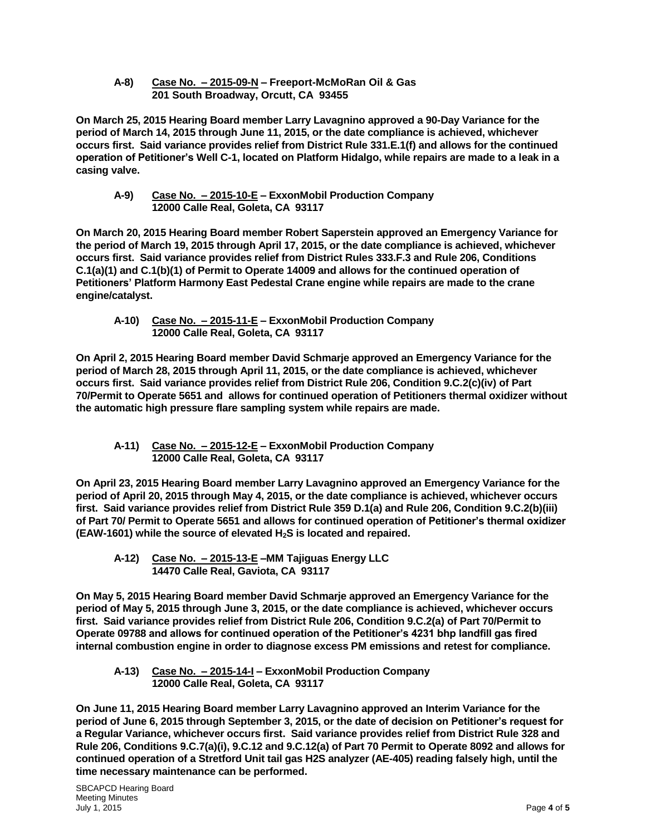**A-8) Case No. – 2015-09-N – Freeport-McMoRan Oil & Gas 201 South Broadway, Orcutt, CA 93455**

**On March 25, 2015 Hearing Board member Larry Lavagnino approved a 90-Day Variance for the period of March 14, 2015 through June 11, 2015, or the date compliance is achieved, whichever occurs first. Said variance provides relief from District Rule 331.E.1(f) and allows for the continued operation of Petitioner's Well C-1, located on Platform Hidalgo, while repairs are made to a leak in a casing valve.**

**A-9) Case No. – 2015-10-E – ExxonMobil Production Company 12000 Calle Real, Goleta, CA 93117**

**On March 20, 2015 Hearing Board member Robert Saperstein approved an Emergency Variance for the period of March 19, 2015 through April 17, 2015, or the date compliance is achieved, whichever occurs first. Said variance provides relief from District Rules 333.F.3 and Rule 206, Conditions C.1(a)(1) and C.1(b)(1) of Permit to Operate 14009 and allows for the continued operation of Petitioners' Platform Harmony East Pedestal Crane engine while repairs are made to the crane engine/catalyst.**

**A-10) Case No. – 2015-11-E – ExxonMobil Production Company 12000 Calle Real, Goleta, CA 93117**

**On April 2, 2015 Hearing Board member David Schmarje approved an Emergency Variance for the period of March 28, 2015 through April 11, 2015, or the date compliance is achieved, whichever occurs first. Said variance provides relief from District Rule 206, Condition 9.C.2(c)(iv) of Part 70/Permit to Operate 5651 and allows for continued operation of Petitioners thermal oxidizer without the automatic high pressure flare sampling system while repairs are made.**

**A-11) Case No. – 2015-12-E – ExxonMobil Production Company 12000 Calle Real, Goleta, CA 93117**

**On April 23, 2015 Hearing Board member Larry Lavagnino approved an Emergency Variance for the period of April 20, 2015 through May 4, 2015, or the date compliance is achieved, whichever occurs first. Said variance provides relief from District Rule 359 D.1(a) and Rule 206, Condition 9.C.2(b)(iii) of Part 70/ Permit to Operate 5651 and allows for continued operation of Petitioner's thermal oxidizer (EAW-1601) while the source of elevated H2S is located and repaired.**

**A-12) Case No. – 2015-13-E –MM Tajiguas Energy LLC 14470 Calle Real, Gaviota, CA 93117**

**On May 5, 2015 Hearing Board member David Schmarje approved an Emergency Variance for the period of May 5, 2015 through June 3, 2015, or the date compliance is achieved, whichever occurs first. Said variance provides relief from District Rule 206, Condition 9.C.2(a) of Part 70/Permit to Operate 09788 and allows for continued operation of the Petitioner's 4231 bhp landfill gas fired internal combustion engine in order to diagnose excess PM emissions and retest for compliance.**

**A-13) Case No. – 2015-14-I – ExxonMobil Production Company 12000 Calle Real, Goleta, CA 93117**

**On June 11, 2015 Hearing Board member Larry Lavagnino approved an Interim Variance for the period of June 6, 2015 through September 3, 2015, or the date of decision on Petitioner's request for a Regular Variance, whichever occurs first. Said variance provides relief from District Rule 328 and Rule 206, Conditions 9.C.7(a)(i), 9.C.12 and 9.C.12(a) of Part 70 Permit to Operate 8092 and allows for continued operation of a Stretford Unit tail gas H2S analyzer (AE-405) reading falsely high, until the time necessary maintenance can be performed.**